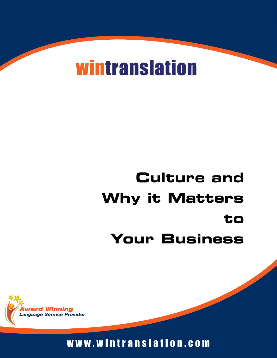# **wintranslation**

# **Culture and Why it Matters to Your Business**



w w w . w i n t r a n s l a t i o n . c o m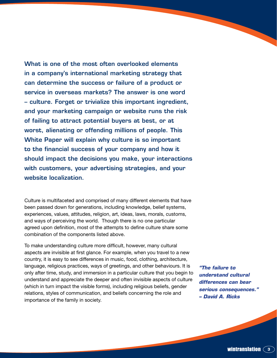What is one of the most often overlooked elements in a company's international marketing strategy that can determine the success or failure of a product or service in overseas markets? The answer is one word – culture. Forget or trivialize this important ingredient, and your marketing campaign or website runs the risk of failing to attract potential buyers at best, or at worst, alienating or offending millions of people. This White Paper will explain why culture is so important to the financial success of your company and how it should impact the decisions you make, your interactions with customers, your advertising strategies, and your website localization.

Culture is multifaceted and comprised of many different elements that have been passed down for generations, including knowledge, belief systems, experiences, values, attitudes, religion, art, ideas, laws, morals, customs, and ways of perceiving the world. Though there is no one particular agreed upon definition, most of the attempts to define culture share some combination of the components listed above.

To make understanding culture more difficult, however, many cultural aspects are invisible at first glance. For example, when you travel to a new country, it is easy to see differences in music, food, clothing, architecture, language, religious practices, ways of greetings, and other behaviours. It is only after time, study, and immersion in a particular culture that you begin to understand and appreciate the deeper and often invisible aspects of culture (which in turn impact the visible forms), including religious beliefs, gender relations, styles of communication, and beliefs concerning the role and importance of the family in society.

*"The failure to understand cultural differences can bear serious consequences." – David A. Ricks*

**wintranslation**  $\widehat{\mathsf{}}\mathsf{3}$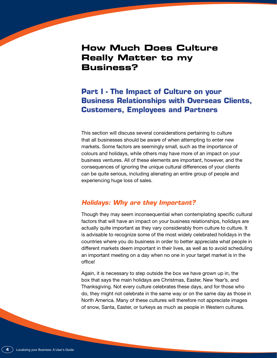# **How Much Does Culture Really Matter to my Business?**

# **Part I - The Impact of Culture on your Business Relationships with Overseas Clients, Customers, Employees and Partners**

This section will discuss several considerations pertaining to culture that all businesses should be aware of when attempting to enter new markets. Some factors are seemingly small, such as the importance of colours and holidays, while others may have more of an impact on your business ventures. All of these elements are important, however, and the consequences of ignoring the unique cultural differences of your clients can be quite serious, including alienating an entire group of people and experiencing huge loss of sales.

### *Holidays: Why are they Important?*

Though they may seem inconsequential when contemplating specific cultural factors that will have an impact on your business relationships, holidays are actually quite important as they vary considerably from culture to culture. It is advisable to recognize some of the most widely celebrated holidays in the countries where you do business in order to better appreciate what people in different markets deem important in their lives, as well as to avoid scheduling an important meeting on a day when no one in your target market is in the office!

Again, it is necessary to step outside the box we have grown up in, the box that says the main holidays are Christmas, Easter, New Year's, and Thanksgiving. Not every culture celebrates these days, and for those who do, they might not celebrate in the same way or on the same day as those in North America. Many of these cultures will therefore not appreciate images of snow, Santa, Easter, or turkeys as much as people in Western cultures.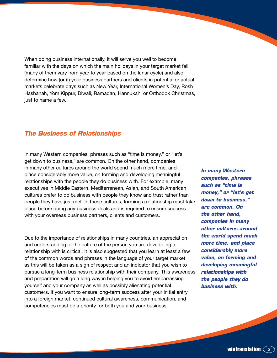When doing business internationally, it will serve you well to become familiar with the days on which the main holidays in your target market fall (many of them vary from year to year based on the lunar cycle) and also determine how (or if) your business partners and clients in potential or actual markets celebrate days such as New Year, International Women's Day, Rosh Hashanah, Yom Kippur, Diwali, Ramadan, Hannukah, or Orthodox Christmas, just to name a few.

#### *The Business of Relationships*

In many Western companies, phrases such as "time is money," or "let's get down to business," are common. On the other hand, companies in many other cultures around the world spend much more time, and place considerably more value, on forming and developing meaningful relationships with the people they do business with. For example, many executives in Middle Eastern, Mediterranean, Asian, and South American cultures prefer to do business with people they know and trust rather than people they have just met. In these cultures, forming a relationship must take place before doing any business deals and is required to ensure success with your overseas business partners, clients and customers.

Due to the importance of relationships in many countries, an appreciation and understanding of the culture of the person you are developing a relationship with is critical. It is also suggested that you learn at least a few of the common words and phrases in the language of your target market as this will be taken as a sign of respect and an indicator that you wish to pursue a long-term business relationship with their company. This awareness and preparation will go a long way in helping you to avoid embarrassing yourself and your company as well as possibly alienating potential customers. If you want to ensure long-term success after your initial entry into a foreign market, continued cultural awareness, communication, and competencies must be a priority for both you and your business.

*In many Western companies, phrases such as "time is money," or "let's get down to business," are common. On the other hand, companies in many other cultures around the world spend much more time, and place considerably more value, on forming and developing meaningful relationships with the people they do business with.*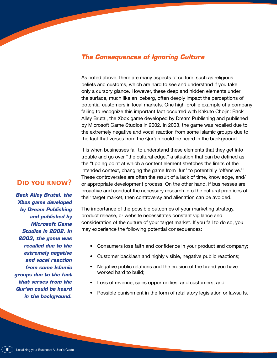#### *The Consequences of Ignoring Culture*

As noted above, there are many aspects of culture, such as religious beliefs and customs, which are hard to see and understand if you take only a cursory glance. However, these deep and hidden elements under the surface, much like an iceberg, often deeply impact the perceptions of potential customers in local markets. One high-profile example of a company failing to recognize this important fact occurred with Kakuto Chojin: Back Alley Brutal, the Xbox game developed by Dream Publishing and published by Microsoft Game Studios in 2002. In 2003, the game was recalled due to the extremely negative and vocal reaction from some Islamic groups due to the fact that verses from the Qur'an could be heard in the background.

It is when businesses fail to understand these elements that they get into trouble and go over "the cultural edge," a situation that can be defined as the "tipping point at which a content element stretches the limits of the intended context, changing the game from 'fun' to potentially 'offensive.'" These controversies are often the result of a lack of time, knowledge, and/ or appropriate development process. On the other hand, if businesses are proactive and conduct the necessary research into the cultural practices of their target market, then controversy and alienation can be avoided.

The importance of the possible outcomes of your marketing strategy, product release, or website necessitates constant vigilance and consideration of the culture of your target market. If you fail to do so, you may experience the following potential consequences:

- Consumers lose faith and confidence in your product and company;
- Customer backlash and highly visible, negative public reactions;
- Negative public relations and the erosion of the brand you have worked hard to build;
- Loss of revenue, sales opportunities, and customers; and
- Possible punishment in the form of retaliatory legislation or lawsuits.

## **Did you know?**

*Back Alley Brutal, the Xbox game developed by Dream Publishing and published by Microsoft Game Studios in 2002. In 2003, the game was recalled due to the extremely negative and vocal reaction from some Islamic groups due to the fact that verses from the Qur'an could be heard in the background.*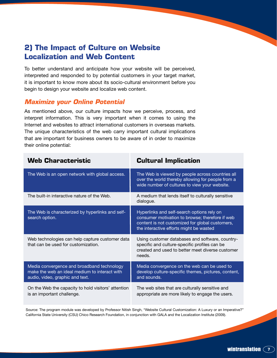# **2) The Impact of Culture on Website Localization and Web Content**

To better understand and anticipate how your website will be perceived, interpreted and responded to by potential customers in your target market, it is important to know more about its socio-cultural environment before you begin to design your website and localize web content.

### *Maximize your Online Potential*

As mentioned above, our culture impacts how we perceive, process, and interpret information. This is very important when it comes to using the Internet and websites to attract international customers in overseas markets. The unique characteristics of the web carry important cultural implications that are important for business owners to be aware of in order to maximize their online potential:

| <b>Web Characteristic</b>                                                                                                      | <b>Cultural Implication</b>                                                                                                                                                                 |
|--------------------------------------------------------------------------------------------------------------------------------|---------------------------------------------------------------------------------------------------------------------------------------------------------------------------------------------|
| The Web is an open network with global access.                                                                                 | The Web is viewed by people across countries all<br>over the world thereby allowing for people from a<br>wide number of cultures to view your website.                                      |
| The built-in interactive nature of the Web.                                                                                    | A medium that lends itself to culturally sensitive<br>dialogue.                                                                                                                             |
| The Web is characterized by hyperlinks and self-<br>search option.                                                             | Hyperlinks and self-search options rely on<br>consumer motivation to browse; therefore if web<br>content is not customized for global customers,<br>the interactive efforts might be wasted |
| Web technologies can help capture customer data<br>that can be used for customization.                                         | Using customer databases and software, country-<br>specific and culture-specific profiles can be<br>created and used to better meet diverse customer<br>needs.                              |
| Media convergence and broadband technology<br>make the web an ideal medium to interact with<br>audio, video, graphic and text. | Media convergence on the web can be used to<br>develop culture-specific themes, pictures, content,<br>and sounds.                                                                           |
| On the Web the capacity to hold visitors' attention<br>is an important challenge.                                              | The web sites that are culturally sensitive and<br>appropriate are more likely to engage the users.                                                                                         |

Source: The program module was developed by Professor Nitish Singh, "Website Cultural Customization: A Luxury or an Imperative?" California State University (CSU) Chico Research Foundation, in conjunction with GALA and the Localization Institute (2009).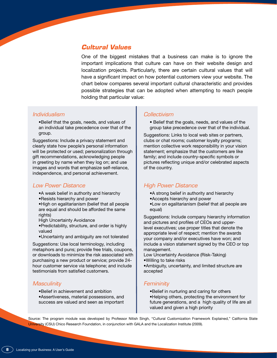#### *Cultural Values*

One of the biggest mistakes that a business can make is to ignore the important implications that culture can have on their website design and localization projects. Particularly, there are certain cultural values that will have a significant impact on how potential customers view your website. The chart below compares several important cultural characteristic and provides possible strategies that can be adopted when attempting to reach people holding that particular value:

#### *Individualism*

• Belief that the goals, needs, and values of an individual take precedence over that of the group.

Suggestions: Include a privacy statement and clearly state how people's personal information will be protected or used; personalization through gift recommendations, acknowledging people in greeting by name when they log on; and use images and words that emphasize self-reliance, independence, and personal achievement.

#### *Low Power Distance*

• A weak belief in authority and hierarchy • Resists hierarchy and power

• High on egalitarianism (belief that all people are equal and should be afforded the same rights)

High Uncertainty Avoidance

• Predictability, structure, and order is highly valued

• Uncertainty and ambiguity are not tolerated

Suggestions: Use local terminology, including metaphors and puns; provide free trials, coupons, or downloads to minimize the risk associated with purchasing a new product or service; provide 24 hour customer service via telephone; and include testimonials from satisfied customers.

#### *Masculinity*

- • Belief in achievement and ambition
- • Assertiveness, material possessions, and success are valued and seen as important

#### *Collectivism*

• Belief that the goals, needs, and values of the group take precedence over that of the individual.

Suggestions: Links to local web sites or partners, clubs or chat rooms; customer loyalty programs; mention collective work responsibility in your vision statement; emphasize that the customers are like family; and include country-specific symbols or pictures reflecting unique and/or celebrated aspects of the country.

#### *High Power Distance*

- • A strong belief in authority and hierarchy
- • Accepts hierarchy and power
- • Low on egalitarianism (belief that all people are equal)

Suggestions: Include company hierarchy information and pictures and profiles of CEOs and upperlevel executives; use proper titles that denote the appropriate level of respect; mention the awards your company and/or executives have won; and include a vision statement signed by the CEO or top management.

Low Uncertainty Avoidance (Risk-Taking) • Willing to take risks

• Ambiguity, uncertainty, and limited structure are accepted

#### *Femininity*

- • Belief in nurturing and caring for others
- • Helping others, protecting the environment for future generations, and a high quality of life are all valued and given a high priority

Source: The program module was developed by Professor Nitish Singh, "Cultural Customization Framework Explained," California State University (CSU) Chico Research Foundation, in conjunction with GALA and the Localization Institute (2009).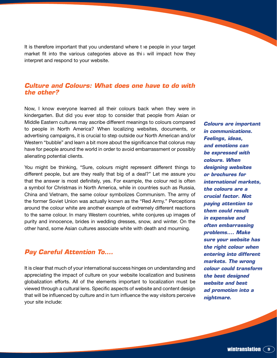It is therefore important that you understand where the people in your target market fit into the various categories above as this will impact how they interpret and respond to your website.

#### *Culture and Colours: What does one have to do with the other?*

Now, I know everyone learned all their colours back when they were in kindergarten. But did you ever stop to consider that people from Asian or Middle Eastern cultures may ascribe different meanings to colours compared to people in North America? When localizing websites, documents, or advertising campaigns, it is crucial to step outside our North American and/or Western "bubble" and learn a bit more about the significance that colorus may have for people around the world in order to avoid embarrassment or possibly alienating potential clients.

You might be thinking, "Sure, colours might represent different things to different people, but are they really that big of a deal?" Let me assure you that the answer is most definitely, yes. For example, the colour red is often a symbol for Christmas in North America, while in countries such as Russia, China and Vietnam, the same colour symbolizes Communism. The army of the former Soviet Union was actually known as the "Red Army." Perceptions around the colour white are another example of extremely different reactions to the same colour. In many Western countries, white conjures up images of purity and innocence, brides in wedding dresses, snow, and winter. On the other hand, some Asian cultures associate white with death and mourning.

## *Pay Careful Attention To….*

It is clear that much of your international success hinges on understanding and appreciating the impact of culture on your website localization and business globalization efforts. All of the elements important to localization must be viewed through a cultural lens. Specific aspects of website and content design that will be influenced by culture and in turn influence the way visitors perceive your site include:

*Colours are important in communications. Feelings, ideas, and emotions can be expressed with colours. When designing websites or brochures for international markets, the colours are a crucial factor. Not paying attention to them could result in expensive and often embarrassing problems.... Make sure your website has the right colour when entering into different markets. The wrong colour could transform the best designed website and best ad promotion into a nightmare.*

**<u>Wintranslation</u>**  $\left( \begin{array}{c} 9 \end{array} \right)$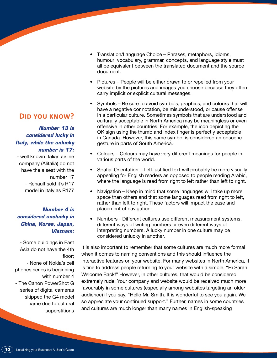**Did you know?**

*Number 13 is considered lucky in Italy, while the unlucky number is 17:* 

- well known Italian airline company (Alitalia) do not have the a seat with the number 17 - Renault sold it's R17 model in Italy as R177

#### *Number 4 is considered unclucky in China, Korea, Japan, Vietnam:*

- Some buildings in East Asia do not have the 4th floor; - None of Nokia's cell phones series is beginning with number 4 - The Canon PowerShot G series of digital cameras skipped the G4 model name due to cultural superstitions

- Translation/Language Choice Phrases, metaphors, idioms, humour; vocabulary, grammar, concepts, and language style must all be equivalent between the translated document and the source document.
- Pictures People will be either drawn to or repelled from your website by the pictures and images you choose because they often carry implicit or explicit cultural messages.
- Symbols Be sure to avoid symbols, graphics, and colours that will have a negative connotation, be misunderstood, or cause offense in a particular culture. Sometimes symbols that are understood and culturally acceptable in North America may be meaningless or even offensive in other countries. For example, the icon depicting the OK sign using the thumb and index finger is perfectly acceptable in Canada. However, this same symbol is considered an obscene gesture in parts of South America.
- Colours Colours may have very different meanings for people in various parts of the world.
- Spatial Orientation Left justified text will probably be more visually appealing for English readers as opposed to people reading Arabic, where the language is read from right to left rather than left to right.
- Navigation Keep in mind that some languages will take up more space than others and that some languages read from right to left, rather than left to right. These factors will impact the ease and placement of navigation.
- Numbers Different cultures use different measurement systems, different ways of writing numbers or even different ways of interpreting numbers. A lucky number in one culture may be considered unlucky in another.

It is also important to remember that some cultures are much more formal when it comes to naming conventions and this should influence the interactive features on your website. For many websites in North America, it is fine to address people returning to your website with a simple, "Hi Sarah. Welcome Back!" However, in other cultures, that would be considered extremely rude. Your company and website would be received much more favourably in some cultures (especially among websites targeting an older audience) if you say, "Hello Mr. Smith. It is wonderful to see you again. We so appreciate your continued support." Further, names in some countries and cultures are much longer than many names in English-speaking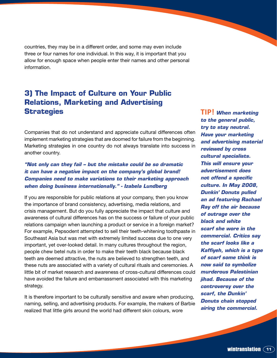countries, they may be in a different order, and some may even include three or four names for one individual. In this way, it is important that you allow for enough space when people enter their names and other personal information.

# **3) The Impact of Culture on Your Public Relations, Marketing and Advertising Strategies**

Companies that do not understand and appreciate cultural differences often implement marketing strategies that are doomed for failure from the beginning. Marketing strategies in one country do not always translate into success in another country.

#### *"Not only can they fail – but the mistake could be so dramatic it can have a negative impact on the company's global brand! Companies need to make variations to their marketing approach when doing business internationally." - Izabela Lundberg*

If you are responsible for public relations at your company, then you know the importance of brand consistency, advertising, media relations, and crisis management. But do you fully appreciate the impact that culture and awareness of cultural differences has on the success or failure of your public relations campaign when launching a product or service in a foreign market? For example, Pepsodent attempted to sell their teeth-whitening toothpaste in Southeast Asia but was met with extremely limited success due to one very important, yet over-looked detail. In many cultures throughout the region, people chew betel nuts in order to make their teeth black because black teeth are deemed attractive, the nuts are believed to strengthen teeth, and these nuts are associated with a variety of cultural rituals and ceremonies. A little bit of market research and awareness of cross-cultural differences could have avoided the failure and embarrassment associated with this marketing strategy.

It is therefore important to be culturally sensitive and aware when producing, naming, selling, and advertising products. For example, the makers of Barbie realized that little girls around the world had different skin colours, wore

**TIP!** *When marketing to the general public, try to stay neutral. Have your marketing and advertising material reviewed by cross cultural specialists. This will ensure your advertisement does not offend a specific culture. In May 2008, Dunkin' Donuts pulled an ad featuring Rachael Ray off the air because of outrage over the black and white scarf she wore in the commercial. Critics say the scarf looks like a Kaffiyeh, which is a type of scarf some think is now said to symbolize murderous Palestinian jihad. Because of the controversy over the scarf, the Dunkin' Donuts chain stopped airing the commercial.*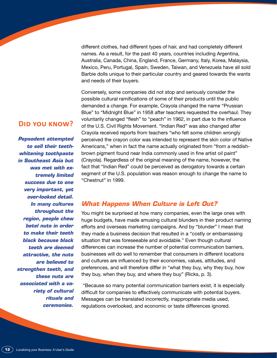different clothes, had different types of hair, and had completely different names. As a result, for the past 40 years, countries including Argentina, Australia, Canada, China, England, France, Germany, Italy, Korea, Malaysia, Mexico, Peru, Portugal, Spain, Sweden, Taiwan, and Venezuela have all sold Barbie dolls unique to their particular country and geared towards the wants and needs of their buyers.

Conversely, some companies did not stop and seriously consider the possible cultural ramifications of some of their products until the public demanded a change. For example, Crayola changed the name "Prussian Blue" to "Midnight Blue" in 1958 after teachers requested the overhaul. They voluntarily changed "flesh" to "peach" in 1962, in part due to the influence of the U.S. Civil Rights Movement. "Indian Red" was also changed after Crayola received reports from teachers "who felt some children wrongly perceived the crayon color was intended to represent the skin color of Native Americans," when in fact the name actually originated from "from a reddishbrown pigment found near India commonly used in fine artist oil paint" (Crayola). Regardless of the original meaning of the name, however, the fact that "Indian Red" could be perceived as derogatory towards a certain segment of the U.S. population was reason enough to change the name to "Chestnut" in 1999.

#### *What Happens When Culture is Left Out?*

You might be surprised at how many companies, even the large ones with huge budgets, have made amusing cultural blunders in their product naming efforts and overseas marketing campaigns. And by "blunder" I mean that they made a business decision that resulted in a "costly or embarrassing situation that was foreseeable and avoidable." Even though cultural differences can increase the number of potential communication barriers, businesses will do well to remember that consumers in different locations and cultures are influenced by their economies, values, attitudes, and preferences, and will therefore differ in "what they buy, why they buy, how they buy, when they buy, and where they buy" (Ricks, p. 3).

 "Because so many potential communication barriers exist, it is especially difficult for companies to effectively communicate with potential buyers. Messages can be translated incorrectly, inappropriate media used, regulations overlooked, and economic or taste differences ignored.

## **Did you know?**

*Pepsodent attempted to sell their teethwhitening toothpaste in Southeast Asia but was met with extremely limited success due to one very important, yet over-looked detail. In many cultures throughout the region, people chew betel nuts in order to make their teeth black because black teeth are deemed attractive, the nuts are believed to strengthen teeth, and these nuts are associated with a variety of cultural rituals and ceremonies.*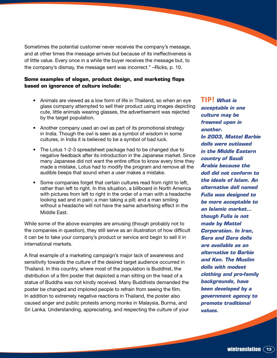Sometimes the potential customer never receives the company's message, and at other times the message arrives but because of its ineffectiveness is of little value. Every once in a while the buyer receives the message but, to the company's dismay, the message sent was incorrect." –Ricks, p. 10.

#### **Some examples of slogan, product design, and marketing flops based on ignorance of culture include:**

- Animals are viewed as a low form of life in Thailand, so when an eye glass company attempted to sell their product using images depicting cute, little animals wearing glasses, the advertisement was rejected by the target population.
- Another company used an owl as part of its promotional strategy in India. Though the owl is seen as a symbol of wisdom in some cultures, in India it is believed to be a symbol of bad luck.
- The Lotus 1-2-3 spreadsheet package had to be changed due to negative feedback after its introduction in the Japanese market. Since many Japanese did not want the entire office to know every time they made a mistake, Lotus had to modify the program and remove all the audible beeps that sound when a user makes a mistake.
- Some companies forget that certain cultures read from right to left, rather than left to right. In this situation, a billboard in North America with pictures from left to right in the order of a man with a headache looking sad and in pain; a man taking a pill; and a man smiling without a headache will not have the same advertising effect in the Middle East.

While some of the above examples are amusing (though probably not to the companies in question), they still serve as an illustration of how difficult it can be to take your company's product or service and begin to sell it in international markets.

A final example of a marketing campaign's major lack of awareness and sensitivity towards the culture of the desired target audience occurred in Thailand. In this country, where most of the population is Buddhist, the distribution of a film poster that depicted a man sitting on the head of a statue of Buddha was not kindly received. Many Buddhists demanded the poster be changed and implored people to refrain from seeing the film. In addition to extremely negative reactions in Thailand, the poster also caused anger and public protests among monks in Malaysia, Burma, and Sri Lanka. Understanding, appreciating, and respecting the culture of your **TIP!** *What is acceptable in one culture may be frowned upon in another. In 2003, Mattel Barbie dolls were outlawed in the Middle Eastern country of Saudi Arabia because the doll did not conform to the ideals of Islam. An alternative doll named Fulla was designed to be more acceptable to an Islamic market… though Fulla is not made by Mattel Corporation. In Iran, Sara and Dara dolls are available as an alternative to Barbie and Ken. The Muslim dolls with modest clothing and pro-family backgrounds, have been developed by a government agency to promote traditional values.*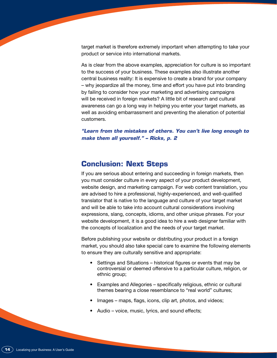target market is therefore extremely important when attempting to take your product or service into international markets.

As is clear from the above examples, appreciation for culture is so important to the success of your business. These examples also illustrate another central business reality: It is expensive to create a brand for your company – why jeopardize all the money, time and effort you have put into branding by failing to consider how your marketing and advertising campaigns will be received in foreign markets? A little bit of research and cultural awareness can go a long way in helping you enter your target markets, as well as avoiding embarrassment and preventing the alienation of potential customers.

*"Learn from the mistakes of others. You can't live long enough to make them all yourself." – Ricks, p. 2* 

## **Conclusion: Next Steps**

If you are serious about entering and succeeding in foreign markets, then you must consider culture in every aspect of your product development, website design, and marketing campaign. For web content translation, you are advised to hire a professional, highly-experienced, and well-qualified translator that is native to the language and culture of your target market and will be able to take into account cultural considerations involving expressions, slang, concepts, idioms, and other unique phrases. For your website development, it is a good idea to hire a web designer familiar with the concepts of localization and the needs of your target market.

Before publishing your website or distributing your product in a foreign market, you should also take special care to examine the following elements to ensure they are culturally sensitive and appropriate:

- Settings and Situations historical figures or events that may be controversial or deemed offensive to a particular culture, religion, or ethnic group;
- Examples and Allegories specifically religious, ethnic or cultural themes bearing a close resemblance to "real world" cultures;
- Images maps, flags, icons, clip art, photos, and videos;
- Audio voice, music, lyrics, and sound effects;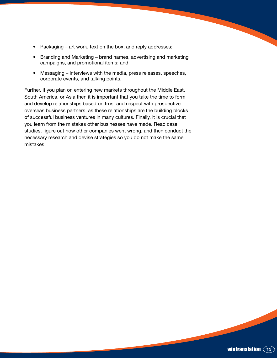- Packaging art work, text on the box, and reply addresses;
- Branding and Marketing brand names, advertising and marketing campaigns, and promotional items; and
- Messaging interviews with the media, press releases, speeches, corporate events, and talking points.

Further, if you plan on entering new markets throughout the Middle East, South America, or Asia then it is important that you take the time to form and develop relationships based on trust and respect with prospective overseas business partners, as these relationships are the building blocks of successful business ventures in many cultures. Finally, it is crucial that you learn from the mistakes other businesses have made. Read case studies, figure out how other companies went wrong, and then conduct the necessary research and devise strategies so you do not make the same mistakes.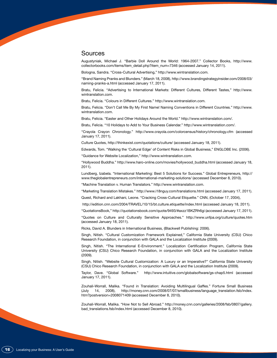#### Sources

Augustyniak, Michael J. "Barbie Doll Around the World: 1964-2007." Collector Books, http://www. collectorbooks.com/items/item\_detail.php?item\_num=7346 (accessed January 14, 2011).

Bologna, Sandra. "Cross-Cultural Advertising," http://www.wintranslation.com.

"Brand Naming Pranks and Blunders." (March 18, 2008), http://www.brandingstrategyinsider.com/2008/03/ naming-pranks-a.html (accessed January 17, 2011).

Bratu, Felicia. "Advertising to International Markets: Different Cultures, Different Tastes," http://www. wintranslation.com.

Bratu, Felicia. "Colours in Different Cultures." http://www.wintranslation.com.

Bratu, Felicia. "Don't Call Me By My First Name! Naming Conventions in Different Countries." http://www. wintranslation.com.

Bratu, Felicia. "Easter and Other Holidays Around the World." http://www.wintranslation.com/.

Bratu, Felicia. "10 Holidays to Add to Your Business Calendar." http://www.wintranslation.com/.

"Crayola Crayon Chronology." http://www.crayola.com/colorcensus/history/chronology.cfm (accessed January 17, 2011).

Culture Quotes, http://thinkexist.com/quotations/culture/ (accessed January 18, 2011).

Edwards, Tom. "Walking the 'Cultural Edge' of Content Risks in Global Business," ENGLOBE Inc. (2006).

"Guidance for Website Localization," http://www.wintranslation.com.

"Hollywood Buddha." http://www.haro-online.com/movies/hollywood\_buddha.html (accessed January 18, 2011).

Lundberg, Izabela. "International Marketing: Best 5 Solutions for Success." Global Entrepreneurs, http:// www.theglobalentrepreneurs.com/international-marketing-solutions/ (accessed December 8, 2010).

"Machine Translation v. Human Translators." http://www.wintranslation.com.

"Marketing Translation Mistakes." http://www.i18nguy.com/translations.html (accessed January 17, 2011).

Quest, Richard and Lakhani, Leone. "Cracking Cross-Cultural Etiquette." CNN, (October 17, 2004),

http://edition.cnn.com/2004/TRAVEL/10/15/bt.culture.etiquette/index.html (accessed January 18, 2011).

"QuotationsBook," http://quotationsbook.com/quote/9493/#axzz1BKZRh6gi (accessed January 17, 2011).

"Quotes on Culture and Culturally Sensitive Approaches." http://www.unfpa.org/culture/quotes.htm (accessed January 18, 2011).

Ricks, David A. Blunders in International Business, (Blackwell Publishing: 2006).

Singh, Nitish. "Cultural Customization Framework Explained," California State University (CSU) Chico Research Foundation, in conjunction with GALA and the Localization Institute (2009).

Singh, Nitish. "The International E-Environment." Localization Certification Program, California State University (CSU) Chico Research Foundation, in conjunction with GALA and the Localization Institute (2009).

Singh, Nitish. "Website Cultural Customization: A Luxury or an Imperative?" California State University (CSU) Chico Research Foundation, in conjunction with GALA and the Localization Institute (2009).

Taylor, Dave. "Global Software." http://www.intuitive.com/globalsoftware/gs-chap5.html (accessed January 17, 2011).

Zouhali-Worrall, Malika. "Found in Translation: Avoiding Multilingual Gaffes." Fortune Small Business (July 14, 2008), http://money.cnn.com/2008/07/07/smallbusiness/language\_translation.fsb/index. htm?postversion=2008071409 (accessed December 8, 2010).

Zouhali-Worrall, Malika. "How Not to Sell Abroad." http://money.cnn.com/galleries/2008/fsb/0807/gallery. bad\_translations.fsb/index.html (accessed December 8, 2010).